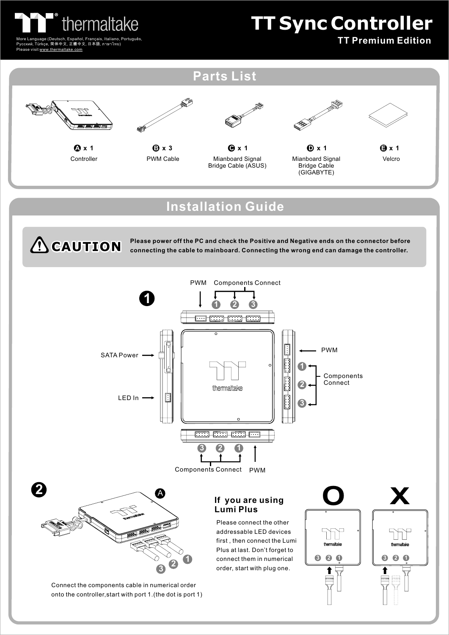

-<br>Español, Français, Italiano, Português,<br>正體中文 日本語 ภาษาไทย) Русский, Türkçe, 简体中文, 正體中文, 日本語, ภาษาไทย) Please visit www.thermaltake.com

## **TT Sync Controller**

 **TT Premium Edition**